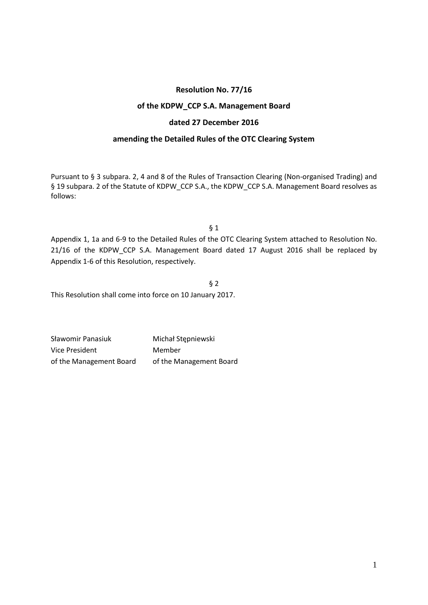## **Resolution No. 77/16**

## **of the KDPW\_CCP S.A. Management Board**

### **dated 27 December 2016**

### **amending the Detailed Rules of the OTC Clearing System**

Pursuant to § 3 subpara. 2, 4 and 8 of the Rules of Transaction Clearing (Non-organised Trading) and § 19 subpara. 2 of the Statute of KDPW\_CCP S.A., the KDPW\_CCP S.A. Management Board resolves as follows:

 $§$  1

Appendix 1, 1a and 6-9 to the Detailed Rules of the OTC Clearing System attached to Resolution No. 21/16 of the KDPW\_CCP S.A. Management Board dated 17 August 2016 shall be replaced by Appendix 1-6 of this Resolution, respectively.

§ 2

This Resolution shall come into force on 10 January 2017.

Sławomir Panasiuk Michał Stępniewski Vice President Member of the Management Board of the Management Board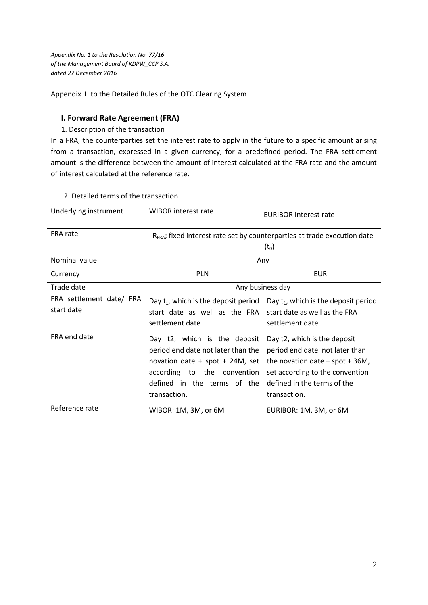*Appendix No. 1 to the Resolution No. 77/16 of the Management Board of KDPW\_CCP S.A. dated 27 December 2016*

Appendix 1 to the Detailed Rules of the OTC Clearing System

## **I. Forward Rate Agreement (FRA)**

## 1. Description of the transaction

In a FRA, the counterparties set the interest rate to apply in the future to a specific amount arising from a transaction, expressed in a given currency, for a predefined period. The FRA settlement amount is the difference between the amount of interest calculated at the FRA rate and the amount of interest calculated at the reference rate.

| Underlying instrument                  | WIBOR interest rate                                                                                                                                                                 | <b>EURIBOR Interest rate</b>                                                                                                                                                            |  |  |  |
|----------------------------------------|-------------------------------------------------------------------------------------------------------------------------------------------------------------------------------------|-----------------------------------------------------------------------------------------------------------------------------------------------------------------------------------------|--|--|--|
| FRA rate                               | $RFRA$ ; fixed interest rate set by counterparties at trade execution date<br>$(t_0)$                                                                                               |                                                                                                                                                                                         |  |  |  |
| Nominal value                          |                                                                                                                                                                                     | Any                                                                                                                                                                                     |  |  |  |
| Currency                               | <b>PLN</b><br><b>EUR</b>                                                                                                                                                            |                                                                                                                                                                                         |  |  |  |
| Trade date                             |                                                                                                                                                                                     | Any business day                                                                                                                                                                        |  |  |  |
| FRA settlement date/ FRA<br>start date | Day $t_1$ , which is the deposit period<br>start date as well as the FRA<br>settlement date                                                                                         | Day $t_1$ , which is the deposit period<br>start date as well as the FRA<br>settlement date                                                                                             |  |  |  |
| FRA end date                           | Day t2, which is the deposit<br>period end date not later than the<br>novation date + spot + 24M, set<br>according to the convention<br>defined in the terms of the<br>transaction. | Day t2, which is the deposit<br>period end date not later than<br>the novation date $+$ spot $+$ 36M,<br>set according to the convention<br>defined in the terms of the<br>transaction. |  |  |  |
| Reference rate                         | WIBOR: 1M, 3M, or 6M                                                                                                                                                                | EURIBOR: 1M, 3M, or 6M                                                                                                                                                                  |  |  |  |

### 2. Detailed terms of the transaction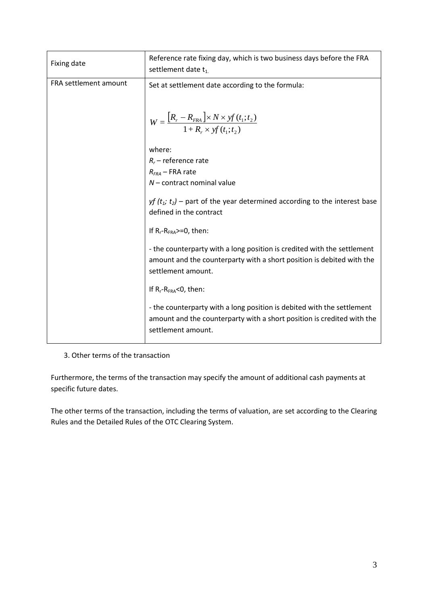| Fixing date           | Reference rate fixing day, which is two business days before the FRA<br>settlement date $t_1$                                                                          |
|-----------------------|------------------------------------------------------------------------------------------------------------------------------------------------------------------------|
| FRA settlement amount | Set at settlement date according to the formula:                                                                                                                       |
|                       | $W = \frac{[R_r - R_{FRA}] \times N \times yf(t_1; t_2)}{1 + R_r \times yf(t_1; t_2)}$                                                                                 |
|                       | where:                                                                                                                                                                 |
|                       | $R_r$ – reference rate                                                                                                                                                 |
|                       | $R_{FRA}$ – FRA rate                                                                                                                                                   |
|                       | $N$ – contract nominal value                                                                                                                                           |
|                       | <i>yf</i> $(t_1; t_2)$ – part of the year determined according to the interest base<br>defined in the contract                                                         |
|                       | If $R_r-R_{FRA}$ >=0, then:                                                                                                                                            |
|                       | - the counterparty with a long position is credited with the settlement<br>amount and the counterparty with a short position is debited with the<br>settlement amount. |
|                       | If $R_r$ - $R_{FRA}$ <0, then:                                                                                                                                         |
|                       | - the counterparty with a long position is debited with the settlement<br>amount and the counterparty with a short position is credited with the<br>settlement amount. |

3. Other terms of the transaction

Furthermore, the terms of the transaction may specify the amount of additional cash payments at specific future dates.

The other terms of the transaction, including the terms of valuation, are set according to the Clearing Rules and the Detailed Rules of the OTC Clearing System.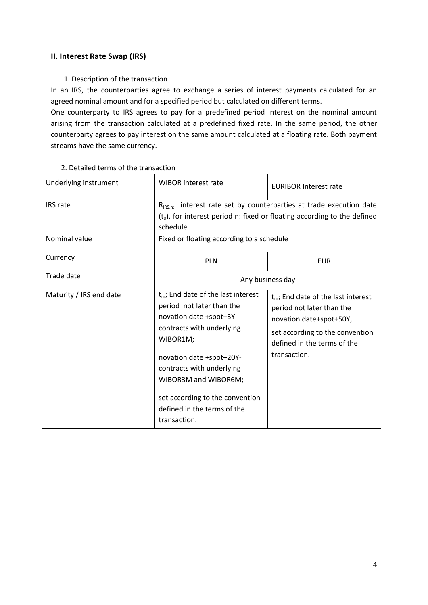## **II. Interest Rate Swap (IRS)**

## 1. Description of the transaction

In an IRS, the counterparties agree to exchange a series of interest payments calculated for an agreed nominal amount and for a specified period but calculated on different terms.

One counterparty to IRS agrees to pay for a predefined period interest on the nominal amount arising from the transaction calculated at a predefined fixed rate. In the same period, the other counterparty agrees to pay interest on the same amount calculated at a floating rate. Both payment streams have the same currency.

| Underlying instrument   | WIBOR interest rate                                                                                                                                                                                                                                                                                        | <b>EURIBOR Interest rate</b>                                                                                                                                                    |  |  |  |  |
|-------------------------|------------------------------------------------------------------------------------------------------------------------------------------------------------------------------------------------------------------------------------------------------------------------------------------------------------|---------------------------------------------------------------------------------------------------------------------------------------------------------------------------------|--|--|--|--|
| IRS rate                | interest rate set by counterparties at trade execution date<br>$R_{\rm IRS.n:}$<br>$(t_0)$ , for interest period n: fixed or floating according to the defined<br>schedule                                                                                                                                 |                                                                                                                                                                                 |  |  |  |  |
| Nominal value           | Fixed or floating according to a schedule                                                                                                                                                                                                                                                                  |                                                                                                                                                                                 |  |  |  |  |
| Currency                | <b>PLN</b><br><b>EUR</b>                                                                                                                                                                                                                                                                                   |                                                                                                                                                                                 |  |  |  |  |
| Trade date              |                                                                                                                                                                                                                                                                                                            | Any business day                                                                                                                                                                |  |  |  |  |
| Maturity / IRS end date | $t_m$ ; End date of the last interest<br>period not later than the<br>novation date +spot+3Y -<br>contracts with underlying<br>WIBOR1M;<br>novation date +spot+20Y-<br>contracts with underlying<br>WIBOR3M and WIBOR6M;<br>set according to the convention<br>defined in the terms of the<br>transaction. | $t_m$ ; End date of the last interest<br>period not later than the<br>novation date+spot+50Y,<br>set according to the convention<br>defined in the terms of the<br>transaction. |  |  |  |  |

## 2. Detailed terms of the transaction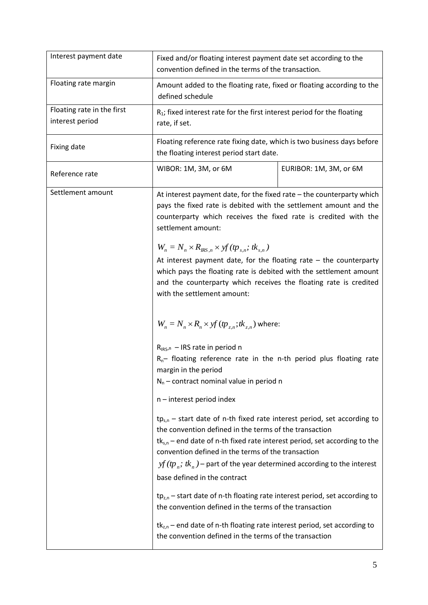| Interest payment date                         | Fixed and/or floating interest payment date set according to the<br>convention defined in the terms of the transaction.                                                                                                                                                                                                                                                                     |                        |
|-----------------------------------------------|---------------------------------------------------------------------------------------------------------------------------------------------------------------------------------------------------------------------------------------------------------------------------------------------------------------------------------------------------------------------------------------------|------------------------|
| Floating rate margin                          | Amount added to the floating rate, fixed or floating according to the<br>defined schedule                                                                                                                                                                                                                                                                                                   |                        |
| Floating rate in the first<br>interest period | $R_1$ ; fixed interest rate for the first interest period for the floating<br>rate, if set.                                                                                                                                                                                                                                                                                                 |                        |
| Fixing date                                   | Floating reference rate fixing date, which is two business days before<br>the floating interest period start date.                                                                                                                                                                                                                                                                          |                        |
| Reference rate                                | WIBOR: 1M, 3M, or 6M                                                                                                                                                                                                                                                                                                                                                                        | EURIBOR: 1M, 3M, or 6M |
| Settlement amount                             | At interest payment date, for the fixed rate - the counterparty which<br>pays the fixed rate is debited with the settlement amount and the<br>counterparty which receives the fixed rate is credited with the<br>settlement amount:                                                                                                                                                         |                        |
|                                               | $W_n = N_n \times R_{RS,n} \times yf(tp_{s,n}; tk_{s,n})$<br>At interest payment date, for the floating rate $-$ the counterparty<br>which pays the floating rate is debited with the settlement amount<br>and the counterparty which receives the floating rate is credited<br>with the settlement amount:                                                                                 |                        |
|                                               | $W_n = N_n \times R_n \times yf(p_{z,n};tk_{z,n})$ where:                                                                                                                                                                                                                                                                                                                                   |                        |
|                                               | $R_{IRS,n}$ – IRS rate in period n<br>$R_n$ – floating reference rate in the n-th period plus floating rate<br>margin in the period<br>$N_n$ – contract nominal value in period n                                                                                                                                                                                                           |                        |
|                                               | n - interest period index                                                                                                                                                                                                                                                                                                                                                                   |                        |
|                                               | $tp_{s,n}$ – start date of n-th fixed rate interest period, set according to<br>the convention defined in the terms of the transaction<br>$tk_{s,n}$ – end date of n-th fixed rate interest period, set according to the<br>convention defined in the terms of the transaction<br>$y f(tp_n; tk_n)$ – part of the year determined according to the interest<br>base defined in the contract |                        |
|                                               | $tp_{z,n}$ – start date of n-th floating rate interest period, set according to<br>the convention defined in the terms of the transaction                                                                                                                                                                                                                                                   |                        |
|                                               | $tk_{z,n}$ – end date of n-th floating rate interest period, set according to<br>the convention defined in the terms of the transaction                                                                                                                                                                                                                                                     |                        |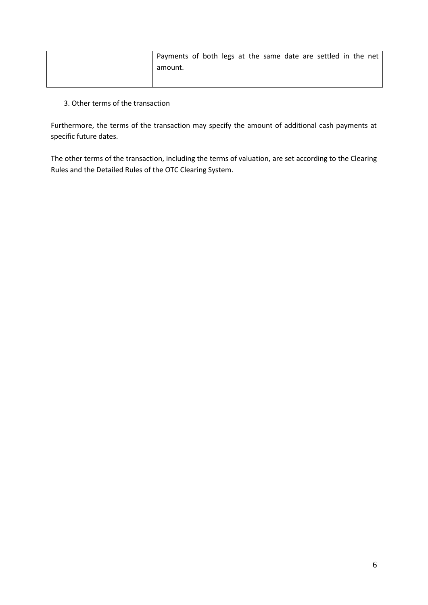| Payments of both legs at the same date are settled in the net |  |  |  |  |  |  |
|---------------------------------------------------------------|--|--|--|--|--|--|
| amount.                                                       |  |  |  |  |  |  |
|                                                               |  |  |  |  |  |  |

## 3. Other terms of the transaction

Furthermore, the terms of the transaction may specify the amount of additional cash payments at specific future dates.

The other terms of the transaction, including the terms of valuation, are set according to the Clearing Rules and the Detailed Rules of the OTC Clearing System.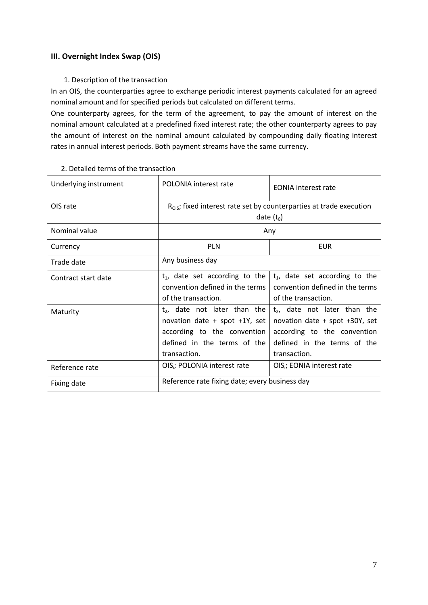## **III. Overnight Index Swap (OIS)**

## 1. Description of the transaction

In an OIS, the counterparties agree to exchange periodic interest payments calculated for an agreed nominal amount and for specified periods but calculated on different terms.

One counterparty agrees, for the term of the agreement, to pay the amount of interest on the nominal amount calculated at a predefined fixed interest rate; the other counterparty agrees to pay the amount of interest on the nominal amount calculated by compounding daily floating interest rates in annual interest periods. Both payment streams have the same currency.

| Underlying instrument | POLONIA interest rate<br><b>EONIA</b> interest rate                                      |                                        |  |  |  |  |
|-----------------------|------------------------------------------------------------------------------------------|----------------------------------------|--|--|--|--|
| OIS rate              | $R_{OIS}$ ; fixed interest rate set by counterparties at trade execution<br>date $(t_0)$ |                                        |  |  |  |  |
|                       |                                                                                          |                                        |  |  |  |  |
| Nominal value         | Any                                                                                      |                                        |  |  |  |  |
| Currency              | <b>PLN</b>                                                                               | EUR                                    |  |  |  |  |
| Trade date            | Any business day                                                                         |                                        |  |  |  |  |
| Contract start date   | $t_1$ , date set according to the                                                        | $t_1$ , date set according to the      |  |  |  |  |
|                       | convention defined in the terms                                                          | convention defined in the terms        |  |  |  |  |
|                       | of the transaction.                                                                      | of the transaction.                    |  |  |  |  |
| Maturity              | $t2$ , date not later than the                                                           | $t2$ , date not later than the         |  |  |  |  |
|                       | novation date $+$ spot $+1Y$ , set                                                       | novation date $+$ spot $+30Y$ , set    |  |  |  |  |
|                       | according to the convention                                                              | according to the convention            |  |  |  |  |
|                       | defined in the terms of the                                                              | defined in the terms of the            |  |  |  |  |
|                       | transaction.                                                                             | transaction.                           |  |  |  |  |
| Reference rate        | OIS <sub>i</sub> ; POLONIA interest rate                                                 | OIS <sub>i</sub> ; EONIA interest rate |  |  |  |  |
| Fixing date           | Reference rate fixing date; every business day                                           |                                        |  |  |  |  |

2. Detailed terms of the transaction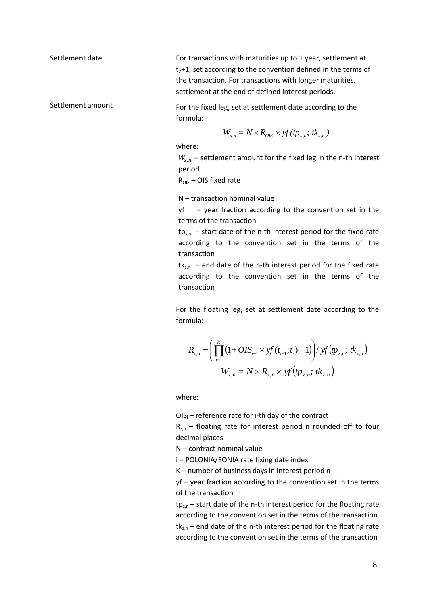| Settlement date   | For transactions with maturities up to 1 year, settlement at<br>$t_2$ +1, set according to the convention defined in the terms of<br>the transaction. For transactions with longer maturities,<br>settlement at the end of defined interest periods. |
|-------------------|------------------------------------------------------------------------------------------------------------------------------------------------------------------------------------------------------------------------------------------------------|
| Settlement amount | For the fixed leg, set at settlement date according to the<br>formula:                                                                                                                                                                               |
|                   | $W_{s,n} = N \times R_{OIS} \times yf(tp_{s,n}; tk_{s,n})$                                                                                                                                                                                           |
|                   | where:<br>$W_{s,n}$ – settlement amount for the fixed leg in the n-th interest<br>period<br>$R_{OIS}$ – OIS fixed rate                                                                                                                               |
|                   | N - transaction nominal value                                                                                                                                                                                                                        |
|                   | - year fraction according to the convention set in the<br>vf<br>terms of the transaction                                                                                                                                                             |
|                   | $tp_{s,n}$ – start date of the n-th interest period for the fixed rate<br>according to the convention set in the terms of the<br>transaction<br>$tk_{s,n}$ – end date of the n-th interest period for the fixed rate                                 |
|                   | according to the convention set in the terms of the<br>transaction                                                                                                                                                                                   |
|                   | For the floating leg, set at settlement date according to the<br>formula:                                                                                                                                                                            |
|                   | $R_{z,n} = \left(\prod_{i=1}^{K} (1 + OIS_{i-1} \times yf(t_{i-1}; t_i) - 1)\right) / yf(t_{z,n}; tk_{z,n})$                                                                                                                                         |
|                   | $W_{z,n} = N \times R_{z,n} \times yf(p_{z,n}; t k_{z,n})$                                                                                                                                                                                           |
|                   | where:                                                                                                                                                                                                                                               |
|                   | $OIS_i$ – reference rate for i-th day of the contract<br>$R_{z,n}$ – floating rate for interest period n rounded off to four<br>decimal places<br>N - contract nominal value<br>i-POLONIA/EONIA rate fixing date index                               |
|                   | K-number of business days in interest period n                                                                                                                                                                                                       |
|                   | $yf$ – year fraction according to the convention set in the terms<br>of the transaction                                                                                                                                                              |
|                   | $tp_{z,n}$ – start date of the n-th interest period for the floating rate<br>according to the convention set in the terms of the transaction<br>$tk_{z,n}$ – end date of the n-th interest period for the floating rate                              |
|                   | according to the convention set in the terms of the transaction                                                                                                                                                                                      |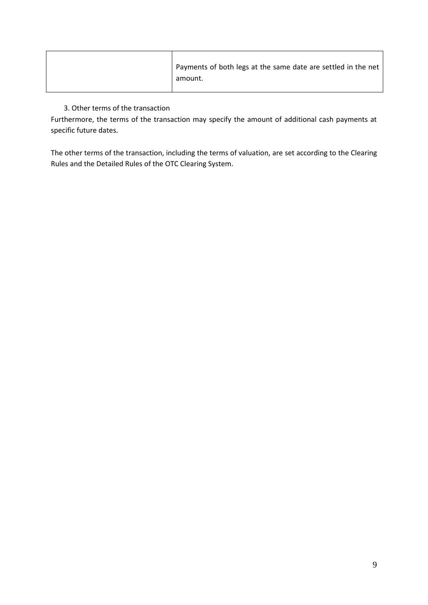| Payments of both legs at the same date are settled in the net |
|---------------------------------------------------------------|
| amount.                                                       |

# 3. Other terms of the transaction

Furthermore, the terms of the transaction may specify the amount of additional cash payments at specific future dates.

The other terms of the transaction, including the terms of valuation, are set according to the Clearing Rules and the Detailed Rules of the OTC Clearing System.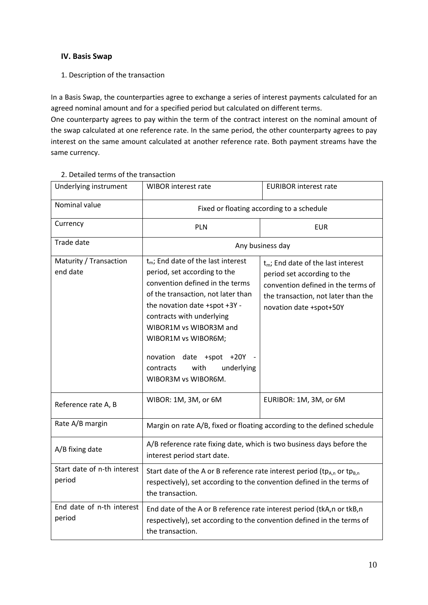## **IV. Basis Swap**

1. Description of the transaction

In a Basis Swap, the counterparties agree to exchange a series of interest payments calculated for an agreed nominal amount and for a specified period but calculated on different terms.

One counterparty agrees to pay within the term of the contract interest on the nominal amount of the swap calculated at one reference rate. In the same period, the other counterparty agrees to pay interest on the same amount calculated at another reference rate. Both payment streams have the same currency.

| Underlying instrument                 | <b>WIBOR interest rate</b>                                                                                                                                                                                                                                                                                                                          | <b>EURIBOR interest rate</b>                                                                                                                                                 |  |  |
|---------------------------------------|-----------------------------------------------------------------------------------------------------------------------------------------------------------------------------------------------------------------------------------------------------------------------------------------------------------------------------------------------------|------------------------------------------------------------------------------------------------------------------------------------------------------------------------------|--|--|
| Nominal value                         | Fixed or floating according to a schedule                                                                                                                                                                                                                                                                                                           |                                                                                                                                                                              |  |  |
| Currency                              | PLN                                                                                                                                                                                                                                                                                                                                                 | <b>EUR</b>                                                                                                                                                                   |  |  |
| Trade date                            |                                                                                                                                                                                                                                                                                                                                                     | Any business day                                                                                                                                                             |  |  |
| Maturity / Transaction<br>end date    | $t_m$ ; End date of the last interest<br>period, set according to the<br>convention defined in the terms<br>of the transaction, not later than<br>the novation date +spot +3Y -<br>contracts with underlying<br>WIBOR1M vs WIBOR3M and<br>WIBOR1M vs WIBOR6M;<br>novation date +spot +20Y<br>with<br>underlying<br>contracts<br>WIBOR3M vs WIBOR6M. | $t_m$ ; End date of the last interest<br>period set according to the<br>convention defined in the terms of<br>the transaction, not later than the<br>novation date +spot+50Y |  |  |
| Reference rate A, B                   | WIBOR: 1M, 3M, or 6M                                                                                                                                                                                                                                                                                                                                | EURIBOR: 1M, 3M, or 6M                                                                                                                                                       |  |  |
| Rate A/B margin                       |                                                                                                                                                                                                                                                                                                                                                     | Margin on rate A/B, fixed or floating according to the defined schedule                                                                                                      |  |  |
| A/B fixing date                       | A/B reference rate fixing date, which is two business days before the<br>interest period start date.                                                                                                                                                                                                                                                |                                                                                                                                                                              |  |  |
| Start date of n-th interest<br>period | Start date of the A or B reference rate interest period (tp <sub>An</sub> or tp <sub>B.n</sub> )<br>respectively), set according to the convention defined in the terms of<br>the transaction.                                                                                                                                                      |                                                                                                                                                                              |  |  |
| End date of n-th interest<br>period   | End date of the A or B reference rate interest period (tkA,n or tkB,n<br>respectively), set according to the convention defined in the terms of<br>the transaction.                                                                                                                                                                                 |                                                                                                                                                                              |  |  |

## 2. Detailed terms of the transaction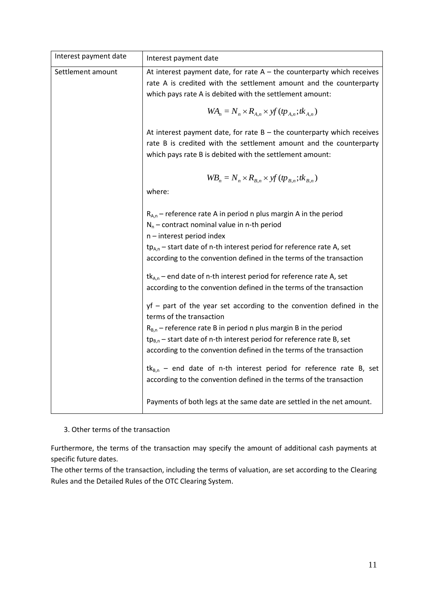| Interest payment date | Interest payment date                                                                                                                                                                                                    |
|-----------------------|--------------------------------------------------------------------------------------------------------------------------------------------------------------------------------------------------------------------------|
| Settlement amount     | At interest payment date, for rate $A$ – the counterparty which receives<br>rate A is credited with the settlement amount and the counterparty<br>which pays rate A is debited with the settlement amount:               |
|                       | $WA_n = N_n \times R_{A_n} \times yf(pp_{A_n};tk_{A_n})$                                                                                                                                                                 |
|                       | At interest payment date, for rate $B$ – the counterparty which receives<br>rate B is credited with the settlement amount and the counterparty<br>which pays rate B is debited with the settlement amount:               |
|                       | $WB_n = N_n \times R_{B,n} \times yf(pp_{B,n};tk_{B,n})$                                                                                                                                                                 |
|                       | where:                                                                                                                                                                                                                   |
|                       | $R_{A,n}$ – reference rate A in period n plus margin A in the period<br>$N_n$ – contract nominal value in n-th period<br>n - interest period index                                                                       |
|                       | $tp_{A,n}$ – start date of n-th interest period for reference rate A, set<br>according to the convention defined in the terms of the transaction                                                                         |
|                       | $tk_{A,n}$ – end date of n-th interest period for reference rate A, set<br>according to the convention defined in the terms of the transaction                                                                           |
|                       | yf - part of the year set according to the convention defined in the<br>terms of the transaction                                                                                                                         |
|                       | $R_{B,n}$ – reference rate B in period n plus margin B in the period<br>$tp_{B,n}$ – start date of n-th interest period for reference rate B, set<br>according to the convention defined in the terms of the transaction |
|                       | $tk_{B,n}$ – end date of n-th interest period for reference rate B, set<br>according to the convention defined in the terms of the transaction                                                                           |
|                       | Payments of both legs at the same date are settled in the net amount.                                                                                                                                                    |

3. Other terms of the transaction

Furthermore, the terms of the transaction may specify the amount of additional cash payments at specific future dates.

The other terms of the transaction, including the terms of valuation, are set according to the Clearing Rules and the Detailed Rules of the OTC Clearing System.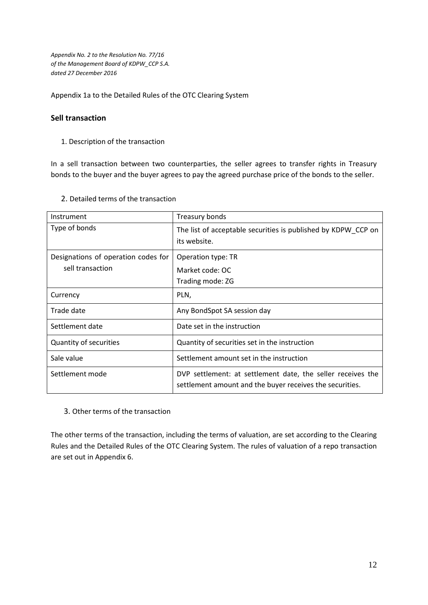*Appendix No. 2 to the Resolution No. 77/16 of the Management Board of KDPW\_CCP S.A. dated 27 December 2016*

Appendix 1a to the Detailed Rules of the OTC Clearing System

## **Sell transaction**

1. Description of the transaction

In a sell transaction between two counterparties, the seller agrees to transfer rights in Treasury bonds to the buyer and the buyer agrees to pay the agreed purchase price of the bonds to the seller.

| Instrument                                              | Treasury bonds                                                                                                          |
|---------------------------------------------------------|-------------------------------------------------------------------------------------------------------------------------|
| Type of bonds                                           | The list of acceptable securities is published by KDPW CCP on<br>its website.                                           |
| Designations of operation codes for<br>sell transaction | Operation type: TR<br>Market code: OC<br>Trading mode: ZG                                                               |
| Currency                                                | PLN,                                                                                                                    |
| Trade date                                              | Any BondSpot SA session day                                                                                             |
| Settlement date                                         | Date set in the instruction                                                                                             |
| Quantity of securities                                  | Quantity of securities set in the instruction                                                                           |
| Sale value                                              | Settlement amount set in the instruction                                                                                |
| Settlement mode                                         | DVP settlement: at settlement date, the seller receives the<br>settlement amount and the buyer receives the securities. |

2. Detailed terms of the transaction

3. Other terms of the transaction

The other terms of the transaction, including the terms of valuation, are set according to the Clearing Rules and the Detailed Rules of the OTC Clearing System. The rules of valuation of a repo transaction are set out in Appendix 6.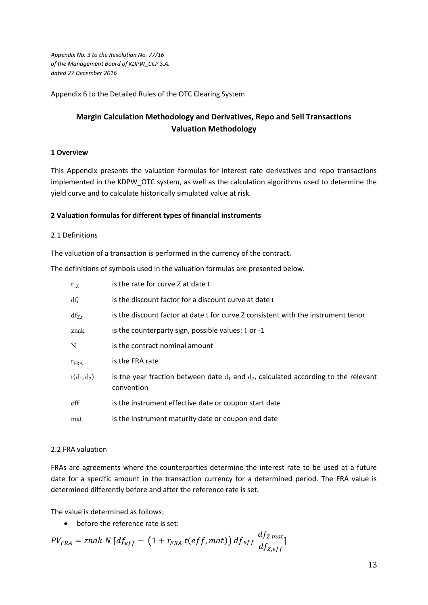*Appendix No. 3 to the Resolution No. 77/16 of the Management Board of KDPW\_CCP S.A. dated 27 December 2016*

Appendix 6 to the Detailed Rules of the OTC Clearing System

# **Margin Calculation Methodology and Derivatives, Repo and Sell Transactions Valuation Methodology**

## **1 Overview**

This Appendix presents the valuation formulas for interest rate derivatives and repo transactions implemented in the KDPW\_OTC system, as well as the calculation algorithms used to determine the yield curve and to calculate historically simulated value at risk.

## **2 Valuation formulas for different types of financial instruments**

## 2.1 Definitions

The valuation of a transaction is performed in the currency of the contract.

The definitions of symbols used in the valuation formulas are presented below.

| $r_{t,Z}$        | is the rate for curve Z at date t                                                                      |
|------------------|--------------------------------------------------------------------------------------------------------|
| $df_t$           | is the discount factor for a discount curve at date t                                                  |
| $df_{Z,t}$       | is the discount factor at date t for curve Z consistent with the instrument tenor                      |
| znak             | is the counterparty sign, possible values: 1 or -1                                                     |
| N                | is the contract nominal amount                                                                         |
| $r_{\text{FRA}}$ | is the FRA rate                                                                                        |
| $t(d_1, d_2)$    | is the year fraction between date $d_1$ and $d_2$ , calculated according to the relevant<br>convention |
| eff              | is the instrument effective date or coupon start date                                                  |
| mat              | is the instrument maturity date or coupon end date                                                     |

### 2.2 FRA valuation

FRAs are agreements where the counterparties determine the interest rate to be used at a future date for a specific amount in the transaction currency for a determined period. The FRA value is determined differently before and after the reference rate is set.

The value is determined as follows:

• before the reference rate is set:

$$
PV_{FRA} = znak N \left[ df_{eff} - \left( 1 + r_{FRA} t(eff, mat) \right) df_{eff} \frac{df_{Z, mat}}{df_{Z,eff}} \right]
$$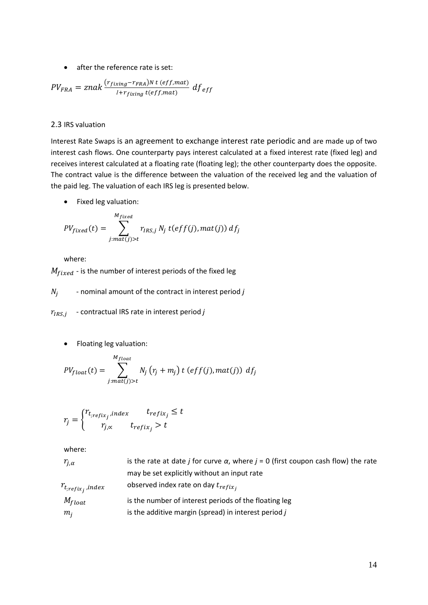### • after the reference rate is set:

$$
PV_{FRA} = znak \frac{(r_{fixing} - r_{FRA})N t (eff, mat)}{1 + r_{fixing} t (eff, mat)} df_{eff}
$$

### 2.3 IRS valuation

Interest Rate Swaps is an agreement to exchange interest rate periodic and are made up of two interest cash flows. One counterparty pays interest calculated at a fixed interest rate (fixed leg) and receives interest calculated at a floating rate (floating leg); the other counterparty does the opposite. The contract value is the difference between the valuation of the received leg and the valuation of the paid leg. The valuation of each IRS leg is presented below.

• Fixed leg valuation:

$$
PV_{fixed}(t) = \sum_{j:mat(j)>t}^{M_{fixed}} r_{IRS,j} N_j t(eff(j),mat(j)) df_j
$$

where:

 $M_{fixed}$  - is the number of interest periods of the fixed leg

 $N_i$ - nominal amount of the contract in interest period *j*

, - contractual IRS rate in interest period *j*

• Floating leg valuation:

$$
PV_{float}(t) = \sum_{j:mat(j)>t}^{M_{float}} N_j (r_j + m_j) t (eff(j), mat(j)) df_j
$$

$$
r_j = \begin{cases} r_{t,refix_j,index} & t_{refix_j} \le t \\ r_{j,\propto} & t_{refix_j} > t \end{cases}
$$

where:

| $r_{i,\alpha}$             | is the rate at date <i>j</i> for curve $\alpha$ , where $j = 0$ (first coupon cash flow) the rate |
|----------------------------|---------------------------------------------------------------------------------------------------|
|                            | may be set explicitly without an input rate                                                       |
| $r_{t_{;refix_{i}},index}$ | observed index rate on day $t_{refix_i}$                                                          |
| $M_{float}$                | is the number of interest periods of the floating leg                                             |
| $m_i$                      | is the additive margin (spread) in interest period $j$                                            |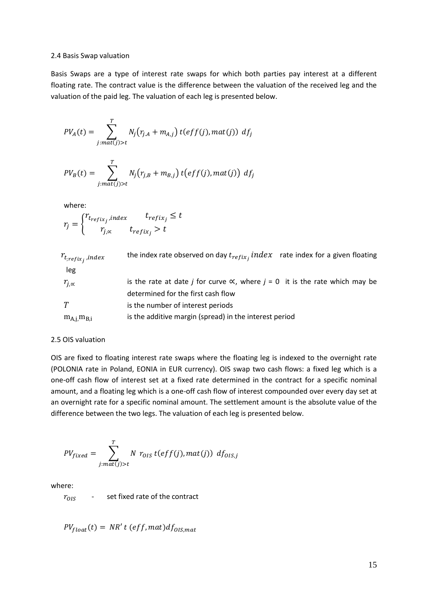#### 2.4 Basis Swap valuation

Basis Swaps are a type of interest rate swaps for which both parties pay interest at a different floating rate. The contract value is the difference between the valuation of the received leg and the valuation of the paid leg. The valuation of each leg is presented below.

$$
PV_A(t) = \sum_{j:mat(j)>t}^{T} N_j(r_{j,A} + m_{A,j}) t(eff(j), mat(j)) df_j
$$

$$
PV_B(t) = \sum_{j:mat(j)>t}^{T} N_j(r_{j,B} + m_{B,j}) t\big(eff(j),mat(j)\big) df_j
$$

where:

$$
r_j = \begin{cases} r_{t_{refix_j},index} & t_{refix_j} \le t \\ r_{j,\propto} & t_{refix_j} > t \end{cases}
$$

| $r_{t_{refix_i},index}$ | the index rate observed on day $t_{refix_j}$ index rate index for a given floating |  |
|-------------------------|------------------------------------------------------------------------------------|--|
| leg                     |                                                                                    |  |

| $r_{i,\alpha}$   | is the rate at date <i>j</i> for curve $\propto$ , where <i>j</i> = 0 it is the rate which may be |
|------------------|---------------------------------------------------------------------------------------------------|
|                  | determined for the first cash flow                                                                |
| T                | is the number of interest periods                                                                 |
| $m_{A,j}m_{B,i}$ | is the additive margin (spread) in the interest period                                            |
|                  |                                                                                                   |

#### 2.5 OIS valuation

OIS are fixed to floating interest rate swaps where the floating leg is indexed to the overnight rate (POLONIA rate in Poland, EONIA in EUR currency). OIS swap two cash flows: a fixed leg which is a one-off cash flow of interest set at a fixed rate determined in the contract for a specific nominal amount, and a floating leg which is a one-off cash flow of interest compounded over every day set at an overnight rate for a specific nominal amount. The settlement amount is the absolute value of the difference between the two legs. The valuation of each leg is presented below.

$$
PV_{fixed} = \sum_{j:mat(j)>t}^{T} N \ r_{OIS} \ t(eff(j),mat(j)) \ d f_{OIS,j}
$$

where:

 $r_{OIS}$  - set fixed rate of the contract

 $PV_{float}(t) = NR' t (eff, mat) df_{OIS, mat}$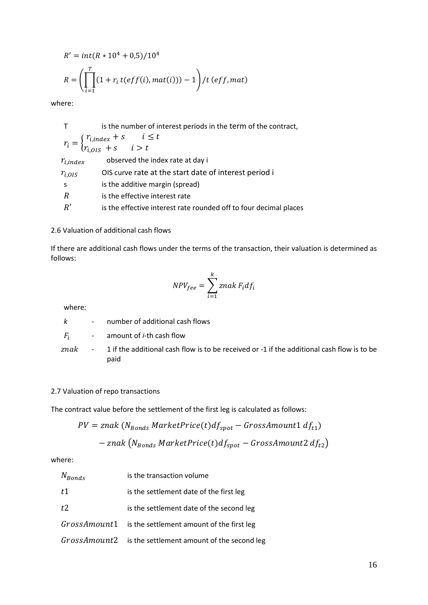$$
R' = int(R * 104 + 0.5)/104
$$
  

$$
R = \left(\prod_{i=1}^{T} (1 + r_i t(eff(i), mat(i))) - 1\right) / t (eff, mat)
$$

where:

| $\mathsf T$                                                                             | is the number of interest periods in the term of the contract,    |  |  |
|-----------------------------------------------------------------------------------------|-------------------------------------------------------------------|--|--|
| $r_i = \begin{cases} r_{i, index} + s & i \leq t \\ r_{i, OIS} + s & i > t \end{cases}$ |                                                                   |  |  |
|                                                                                         |                                                                   |  |  |
| $r_{i,index}$                                                                           | observed the index rate at day i                                  |  |  |
| $r_{i,OIS}$                                                                             | OIS curve rate at the start date of interest period i             |  |  |
| S                                                                                       | is the additive margin (spread)                                   |  |  |
| R                                                                                       | is the effective interest rate                                    |  |  |
|                                                                                         | is the effective interest rate rounded off to four decimal places |  |  |

#### 2.6 Valuation of additional cash flows

If there are additional cash flows under the terms of the transaction, their valuation is determined as follows:

$$
NPV_{fee} = \sum_{i=1}^{k} znak F_i df_i
$$

where:

|  | $k$ - number of additional cash flows                                                                                       |
|--|-----------------------------------------------------------------------------------------------------------------------------|
|  | $F_i$ - amount of <i>i</i> -th cash flow                                                                                    |
|  | znak $\qquad$ - $\qquad$ 1 if the additional cash flow is to be received or -1 if the additional cash flow is to be<br>paid |

### 2.7 Valuation of repo transactions

The contract value before the settlement of the first leg is calculated as follows:

$$
PV = znak (N_{Bonds} MarketPrice(t)df_{spot} - GrossAmount1 df_{t1})
$$

$$
-znak(NBonds MarketPrice(t)dfspot - GrossAmount2 dftz)
$$

where:

| $N_{Bonds}$ | is the transaction volume                               |
|-------------|---------------------------------------------------------|
| t1          | is the settlement date of the first leg                 |
| t2          | is the settlement date of the second leg                |
|             | GrossAmount1 is the settlement amount of the first leg  |
|             | GrossAmount2 is the settlement amount of the second leg |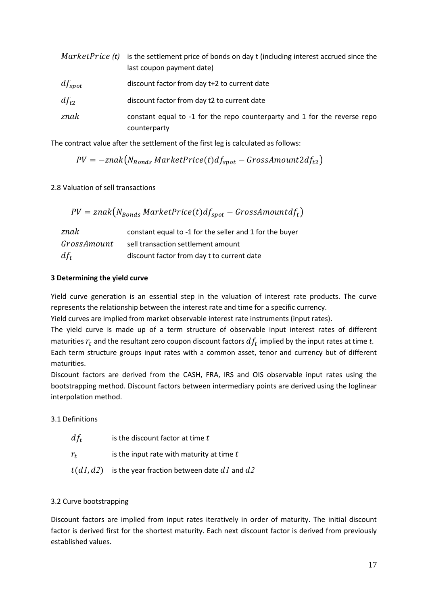|             | <i>MarketPrice (t)</i> is the settlement price of bonds on day t (including interest accrued since the |  |
|-------------|--------------------------------------------------------------------------------------------------------|--|
|             | last coupon payment date)                                                                              |  |
| $df_{spot}$ | discount factor from day t+2 to current date                                                           |  |
| $df_{t2}$   | discount factor from day t2 to current date                                                            |  |
| znak        | constant equal to -1 for the repo counterparty and 1 for the reverse repo<br>counterparty              |  |

The contract value after the settlement of the first leg is calculated as follows:

$$
PV = -znak(N_{Bonds} MarketPrice(t)df_{spot} - GrossAmount2df_{t2})
$$

2.8 Valuation of sell transactions

$$
PV = znak(N_{Bonds} MarketPrice(t)df_{spot} - GrossAmountdf_t)
$$

| znak        | constant equal to -1 for the seller and 1 for the buyer |
|-------------|---------------------------------------------------------|
| GrossAmount | sell transaction settlement amount                      |
| $df_t$      | discount factor from day t to current date              |

## **3 Determining the yield curve**

Yield curve generation is an essential step in the valuation of interest rate products. The curve represents the relationship between the interest rate and time for a specific currency.

Yield curves are implied from market observable interest rate instruments (input rates).

The yield curve is made up of a term structure of observable input interest rates of different maturities  $r_t$  and the resultant zero coupon discount factors  $df_t$  implied by the input rates at time  $t$ .

Each term structure groups input rates with a common asset, tenor and currency but of different maturities.

Discount factors are derived from the CASH, FRA, IRS and OIS observable input rates using the bootstrapping method. Discount factors between intermediary points are derived using the loglinear interpolation method.

## 3.1 Definitions

| $df_t$  | is the discount factor at time t                            |
|---------|-------------------------------------------------------------|
| $r_{t}$ | is the input rate with maturity at time t                   |
|         | $t(d1, d2)$ is the year fraction between date $d1$ and $d2$ |

## 3.2 Curve bootstrapping

Discount factors are implied from input rates iteratively in order of maturity. The initial discount factor is derived first for the shortest maturity. Each next discount factor is derived from previously established values.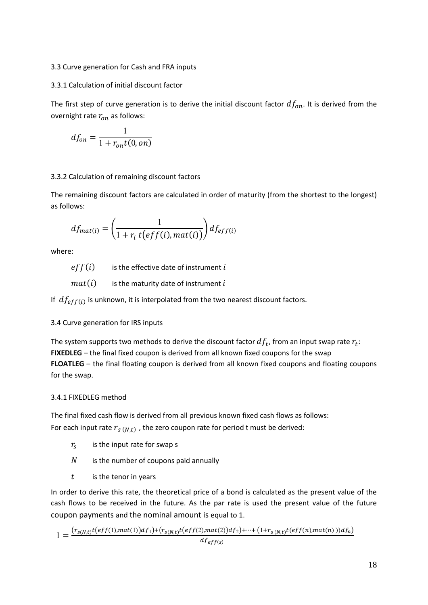## 3.3 Curve generation for Cash and FRA inputs

## 3.3.1 Calculation of initial discount factor

The first step of curve generation is to derive the initial discount factor  $df_{on}$ . It is derived from the overnight rate  $r_{on}$  as follows:

$$
df_{on} = \frac{1}{1 + r_{on}t(0, on)}
$$

## 3.3.2 Calculation of remaining discount factors

The remaining discount factors are calculated in order of maturity (from the shortest to the longest) as follows:

$$
df_{mat(i)} = \left(\frac{1}{1 + r_i t\big( \text{eff}(i), \text{mat}(i) \big)} \right) df_{\text{eff}(i)}
$$

where:

 $eff(i)$  is the effective date of instrument i

 $mat(i)$  is the maturity date of instrument i

If  $df_{eff(i)}$  is unknown, it is interpolated from the two nearest discount factors.

## 3.4 Curve generation for IRS inputs

The system supports two methods to derive the discount factor  $df_t$ , from an input swap rate  $r_t$ : **FIXEDLEG** – the final fixed coupon is derived from all known fixed coupons for the swap **FLOATLEG** – the final floating coupon is derived from all known fixed coupons and floating coupons for the swap.

### 3.4.1 FIXEDLEG method

The final fixed cash flow is derived from all previous known fixed cash flows as follows: For each input rate  $r_{s(N,t)}$  , the zero coupon rate for period t must be derived:

- $r_{\rm s}$ is the input rate for swap s
- $N$  is the number of coupons paid annually
- $t$  is the tenor in years

In order to derive this rate, the theoretical price of a bond is calculated as the present value of the cash flows to be received in the future. As the par rate is used the present value of the future coupon payments and the nominal amount is equal to 1.

$$
1 = \frac{(r_{s(N,t)}t(eff(1),mat(1))df_1) + (r_{s(N,t)}t(eff(2),mat(2))df_2) + \dots + (1 + r_{s(N,t)}t(eff(n),mat(n)))df_n)}{df_{eff(s)}}
$$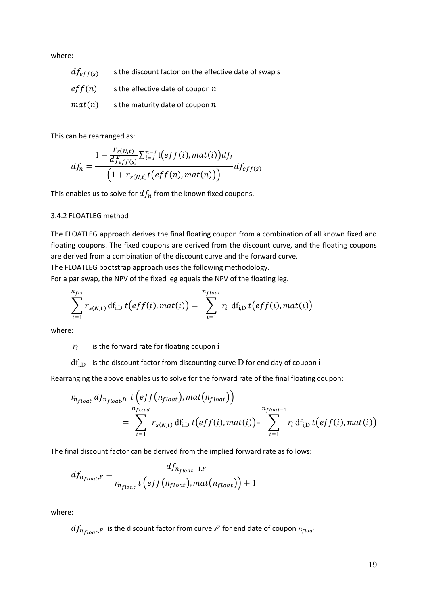where:

| $df_{eff(s)}$ | is the discount factor on the effective date of swap s |
|---------------|--------------------------------------------------------|
| eff(n)        | is the effective date of coupon $n$                    |
| mat(n)        | is the maturity date of coupon $n$                     |

This can be rearranged as:

$$
df_n = \frac{1 - \frac{r_{s(N,t)}}{df_{eff(s)}} \sum_{i=1}^{n-1} \mathfrak{t}(eff(i), mat(i)) df_i}{\left(1 + r_{s(N,t)} t\left( eff(n), mat(n) \right)\right)} df_{eff(s)}
$$

This enables us to solve for  $df_n$  from the known fixed coupons.

### 3.4.2 FLOATLEG method

The FLOATLEG approach derives the final floating coupon from a combination of all known fixed and floating coupons. The fixed coupons are derived from the discount curve, and the floating coupons are derived from a combination of the discount curve and the forward curve.

The FLOATLEG bootstrap approach uses the following methodology.

For a par swap, the NPV of the fixed leg equals the NPV of the floating leg.

$$
\sum_{i=1}^{n_{fix}} r_{s(N,t)} df_{i,D} t\big( eff(i), mat(i) \big) = \sum_{i=1}^{n_{float}} r_i df_{i,D} t\big( eff(i), mat(i) \big)
$$

where:

 $r_i$ is the forward rate for floating coupon i

 $df_{i,D}$  is the discount factor from discounting curve D for end day of coupon i

Rearranging the above enables us to solve for the forward rate of the final floating coupon:

$$
r_{n_{float}} df_{n_{float}, D} t\left( eff(n_{float}), mat(n_{float}) \right)
$$
  
= 
$$
\sum_{i=1}^{n_{fixed}} r_{s(N,t)} df_{i,D} t\left( eff(i), mat(i) \right) - \sum_{i=1}^{n_{float-1}} r_i df_{i,D} t\left( eff(i), mat(i) \right)
$$

The final discount factor can be derived from the implied forward rate as follows:

$$
df_{n_{float}.F} = \frac{df_{n_{float}-1,F}}{r_{n_{float}} t (eff(n_{float}),mat(n_{float})) + 1}
$$

where:

 $df_{n_{float}F}$  is the discount factor from curve F for end date of coupon  $n_{float}$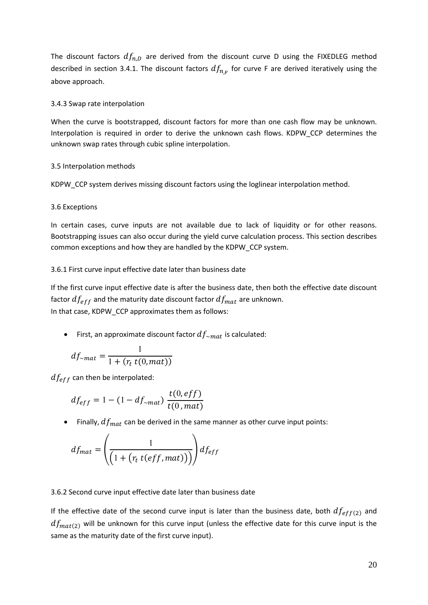The discount factors  $df_{n,D}$  are derived from the discount curve D using the FIXEDLEG method described in section 3.4.1. The discount factors  $df_{n_{,F}}$  for curve F are derived iteratively using the above approach.

### 3.4.3 Swap rate interpolation

When the curve is bootstrapped, discount factors for more than one cash flow may be unknown. Interpolation is required in order to derive the unknown cash flows. KDPW\_CCP determines the unknown swap rates through cubic spline interpolation.

#### 3.5 Interpolation methods

KDPW\_CCP system derives missing discount factors using the loglinear interpolation method.

#### 3.6 Exceptions

In certain cases, curve inputs are not available due to lack of liquidity or for other reasons. Bootstrapping issues can also occur during the yield curve calculation process. This section describes common exceptions and how they are handled by the KDPW\_CCP system.

#### 3.6.1 First curve input effective date later than business date

If the first curve input effective date is after the business date, then both the effective date discount factor  $df_{eff}$  and the maturity date discount factor  $df_{mat}$  are unknown. In that case, KDPW\_CCP approximates them as follows:

First, an approximate discount factor  $df_{\sim mat}$  is calculated:

$$
df_{\sim mat} = \frac{1}{1 + (r_t \ t(0, mat))}
$$

 $df_{eff}$  can then be interpolated:

$$
df_{eff} = 1 - (1 - df_{\sim mat}) \frac{t(0, eff)}{t(0, mat)}
$$

Finally,  $df_{mat}$  can be derived in the same manner as other curve input points:

$$
df_{mat} = \left(\frac{1}{\left(1 + \left(r_t \ t(eff, mat)\right)\right)}\right) df_{eff}
$$

#### 3.6.2 Second curve input effective date later than business date

If the effective date of the second curve input is later than the business date, both  $df_{eff(2)}$  and  $df_{mat(2)}$  will be unknown for this curve input (unless the effective date for this curve input is the same as the maturity date of the first curve input).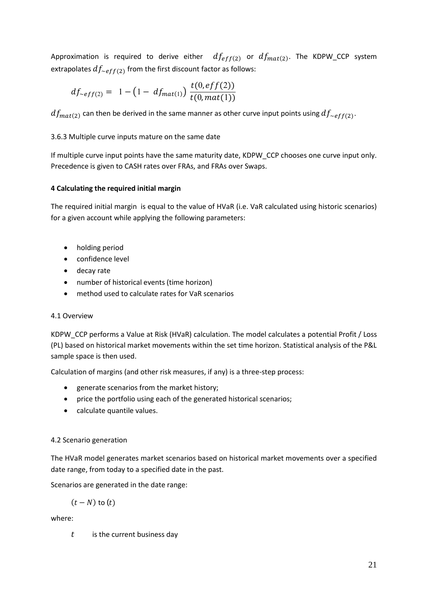Approximation is required to derive either  $df_{eff(2)}$  or  $df_{mat(2)}$ . The KDPW\_CCP system extrapolates  $df_{\sim eff(2)}$  from the first discount factor as follows:

$$
df_{\sim eff(2)} = 1 - (1 - df_{mat(1)}) \frac{t(0, eff(2))}{t(0, mat(1))}
$$

 $df_{mat(2)}$  can then be derived in the same manner as other curve input points using  $df_{\sim eff(2)}$ .

## 3.6.3 Multiple curve inputs mature on the same date

If multiple curve input points have the same maturity date, KDPW\_CCP chooses one curve input only. Precedence is given to CASH rates over FRAs, and FRAs over Swaps.

### **4 Calculating the required initial margin**

The required initial margin is equal to the value of HVaR (i.e. VaR calculated using historic scenarios) for a given account while applying the following parameters:

- holding period
- confidence level
- decay rate
- number of historical events (time horizon)
- method used to calculate rates for VaR scenarios

### 4.1 Overview

KDPW\_CCP performs a Value at Risk (HVaR) calculation. The model calculates a potential Profit / Loss (PL) based on historical market movements within the set time horizon. Statistical analysis of the P&L sample space is then used.

Calculation of margins (and other risk measures, if any) is a three-step process:

- generate scenarios from the market history;
- price the portfolio using each of the generated historical scenarios;
- calculate quantile values.

### 4.2 Scenario generation

The HVaR model generates market scenarios based on historical market movements over a specified date range, from today to a specified date in the past.

Scenarios are generated in the date range:

 $(t - N)$  to  $(t)$ 

where:

 $t$  is the current business day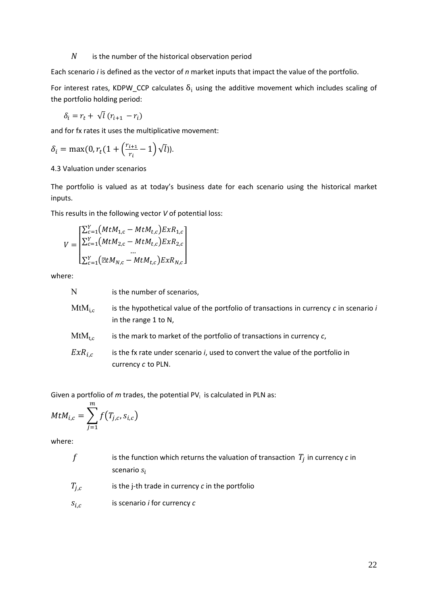### $N$  is the number of the historical observation period

Each scenario *i* is defined as the vector of *n* market inputs that impact the value of the portfolio.

For interest rates, KDPW\_CCP calculates  $\delta_i$  using the additive movement which includes scaling of the portfolio holding period:

$$
\delta_i = r_t + \sqrt{l} (r_{i+1} - r_i)
$$

and for fx rates it uses the multiplicative movement:

$$
\delta_i = \max(0, r_t(1 + \left(\frac{r_{i+1}}{r_i} - 1\right)\sqrt{l})).
$$

### 4.3 Valuation under scenarios

The portfolio is valued as at today's business date for each scenario using the historical market inputs.

This results in the following vector *V* of potential loss:

$$
V = \begin{bmatrix} \sum_{c=1}^{Y} (MtM_{1,c} - MtM_{t,c})ExR_{1,c} \\ \sum_{c=1}^{Y} (MtM_{2,c} - MtM_{t,c})ExR_{2,c} \\ \dots \\ \sum_{c=1}^{Y} (\mathbb{E}tM_{N,c} - MtM_{t,c})ExR_{N,c} \end{bmatrix}
$$

where:

N is the number of scenarios,

- $MtM_{i,c}$ is the hypothetical value of the portfolio of transactions in currency *c* in scenario *i* in the range 1 to N,
- $MtM_{t.c}$ is the mark to market of the portfolio of transactions in currency *c*,
- $ExR_{i,c}$ is the fx rate under scenario *i*, used to convert the value of the portfolio in currency *c* to PLN.

Given a portfolio of m trades, the potential PV<sub>i</sub> is calculated in PLN as:

$$
MtM_{i,c} = \sum_{j=1}^m f(T_{j,c}, s_{i,c})
$$

where:

- $f$  is the function which returns the valuation of transaction  $T_j$  in currency  $c$  in scenario  $s_i$
- $T_{i,c}$ is the j-th trade in currency *c* in the portfolio
- $S_{i,c}$ is scenario *i* for currency *c*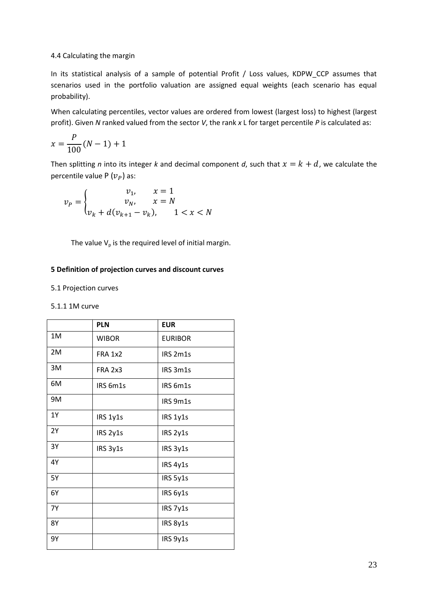### 4.4 Calculating the margin

In its statistical analysis of a sample of potential Profit / Loss values, KDPW\_CCP assumes that scenarios used in the portfolio valuation are assigned equal weights (each scenario has equal probability).

When calculating percentiles, vector values are ordered from lowest (largest loss) to highest (largest profit). Given *N* ranked valued from the sector *V*, the rank *x* L for target percentile *P* is calculated as:

$$
x = \frac{P}{100}(N - 1) + 1
$$

Then splitting *n* into its integer *k* and decimal component *d*, such that  $x = k + d$ , we calculate the percentile value P  $(v_P)$  as:

$$
v_{P} = \begin{cases} v_{1}, & x = 1 \\ v_{N}, & x = N \\ v_{k} + d(v_{k+1} - v_{k}), & 1 < x < N \end{cases}
$$

The value  $V_p$  is the required level of initial margin.

### **5 Definition of projection curves and discount curves**

#### 5.1 Projection curves

#### 5.1.1 1M curve

|           | <b>PLN</b>     | <b>EUR</b>     |
|-----------|----------------|----------------|
| 1M        | <b>WIBOR</b>   | <b>EURIBOR</b> |
| 2M        | <b>FRA 1x2</b> | IRS 2m1s       |
| 3M        | <b>FRA 2x3</b> | IRS 3m1s       |
| 6M        | IRS 6m1s       | IRS 6m1s       |
| 9M        |                | IRS 9m1s       |
| <b>1Y</b> | IRS 1y1s       | IRS 1y1s       |
| 2Y        | IRS 2y1s       | IRS 2y1s       |
| 3Y        | IRS 3y1s       | IRS 3y1s       |
| 4Y        |                | IRS 4y1s       |
| <b>5Y</b> |                | IRS 5y1s       |
| 6Y        |                | IRS 6y1s       |
| <b>7Y</b> |                | IRS 7y1s       |
| <b>8Y</b> |                | IRS 8y1s       |
| 9Υ        |                | IRS 9y1s       |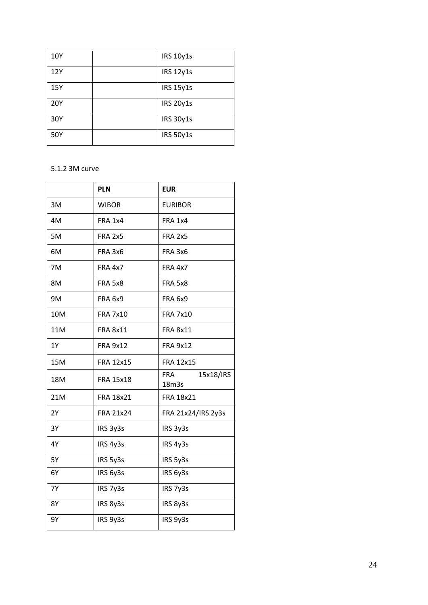| 10Y        | <b>IRS 10y1s</b> |
|------------|------------------|
| 12Y        | <b>IRS 12y1s</b> |
| 15Y        | <b>IRS 15y1s</b> |
| <b>20Y</b> | <b>IRS 20y1s</b> |
| 30Y        | <b>IRS 30y1s</b> |
| 50Y        | <b>IRS 50y1s</b> |

## 5.1.2 3M curve

|           | <b>PLN</b>       | <b>EUR</b>                       |
|-----------|------------------|----------------------------------|
| 3M        | <b>WIBOR</b>     | <b>EURIBOR</b>                   |
| 4M        | FRA 1x4          | <b>FRA 1x4</b>                   |
| 5M        | <b>FRA 2x5</b>   | <b>FRA 2x5</b>                   |
| 6M        | FRA 3x6          | FRA 3x6                          |
| 7M        | FRA 4x7          | FRA 4x7                          |
| 8M        | FRA 5x8          | FRA 5x8                          |
| 9M        | FRA 6x9          | <b>FRA 6x9</b>                   |
| 10M       | <b>FRA 7x10</b>  | <b>FRA 7x10</b>                  |
| 11M       | <b>FRA 8x11</b>  | <b>FRA 8x11</b>                  |
| <b>1Y</b> | <b>FRA 9x12</b>  | <b>FRA 9x12</b>                  |
| 15M       | <b>FRA 12x15</b> | FRA 12x15                        |
| 18M       | <b>FRA 15x18</b> | 15x18/IRS<br><b>FRA</b><br>18m3s |
| 21M       | <b>FRA 18x21</b> | <b>FRA 18x21</b>                 |
| 2Y        | <b>FRA 21x24</b> | FRA 21x24/IRS 2y3s               |
| 3Y        | IRS 3y3s         | IRS 3y3s                         |
| 4Y        | IRS 4y3s         | IRS 4y3s                         |
| 5Y        | IRS 5y3s         | IRS 5y3s                         |
| 6Y        | IRS 6y3s         | IRS 6y3s                         |
| <b>7Y</b> | IRS 7y3s         | IRS 7y3s                         |
| 8Y        | IRS 8y3s         | IRS 8y3s                         |
| 9Υ        | IRS 9y3s         | IRS 9y3s                         |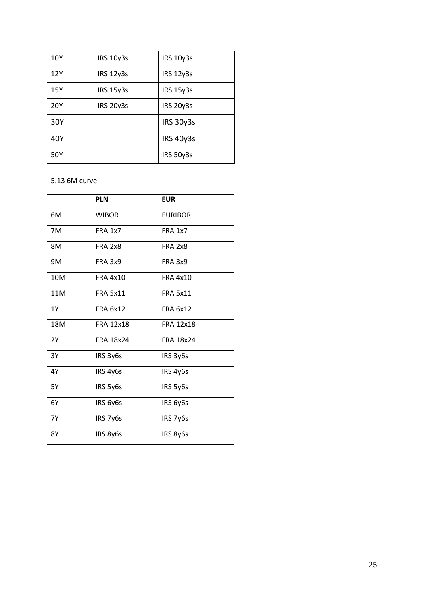| 10Y        | <b>IRS 10y3s</b> | <b>IRS 10y3s</b> |
|------------|------------------|------------------|
| 12Y        | <b>IRS 12y3s</b> | <b>IRS 12y3s</b> |
| 15Y        | <b>IRS 15y3s</b> | <b>IRS 15y3s</b> |
| <b>20Y</b> | <b>IRS 20y3s</b> | <b>IRS 20y3s</b> |
| 30Y        |                  | <b>IRS 30y3s</b> |
| 40Y        |                  | <b>IRS 40y3s</b> |
| 50Y        |                  | <b>IRS 50y3s</b> |

## 5.13 6M curve

|           | <b>PLN</b>       | <b>EUR</b>       |
|-----------|------------------|------------------|
| 6M        | <b>WIBOR</b>     | <b>EURIBOR</b>   |
| 7M        | <b>FRA 1x7</b>   | <b>FRA 1x7</b>   |
| 8M        | <b>FRA 2x8</b>   | <b>FRA 2x8</b>   |
| 9M        | <b>FRA 3x9</b>   | <b>FRA 3x9</b>   |
| 10M       | <b>FRA 4x10</b>  | <b>FRA 4x10</b>  |
| 11M       | <b>FRA 5x11</b>  | <b>FRA 5x11</b>  |
| 1Y        | <b>FRA 6x12</b>  | <b>FRA 6x12</b>  |
| 18M       | <b>FRA 12x18</b> | <b>FRA 12x18</b> |
| 2Y        | <b>FRA 18x24</b> | <b>FRA 18x24</b> |
| 3Y        | IRS 3y6s         | IRS 3y6s         |
| 4Y        | IRS 4y6s         | IRS 4y6s         |
| <b>5Y</b> | IRS 5y6s         | IRS 5y6s         |
| 6Y        | IRS 6y6s         | IRS 6y6s         |
| <b>7Y</b> | IRS 7y6s         | IRS 7y6s         |
| 8Y        | IRS 8y6s         | IRS 8y6s         |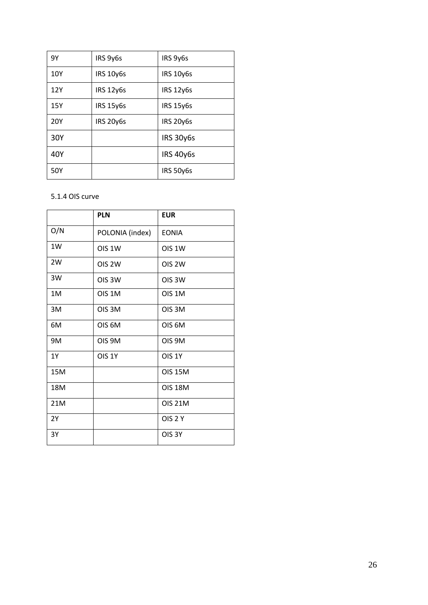| 9Y         | IRS 9y6s         | IRS 9y6s         |
|------------|------------------|------------------|
| 10Y        | <b>IRS 10y6s</b> | <b>IRS 10y6s</b> |
| 12Y        | <b>IRS 12y6s</b> | <b>IRS 12y6s</b> |
| 15Y        | <b>IRS 15y6s</b> | <b>IRS 15y6s</b> |
| <b>20Y</b> | <b>IRS 20y6s</b> | <b>IRS 20y6s</b> |
| 30Y        |                  | IRS 30y6s        |
| 40Y        |                  | <b>IRS 40y6s</b> |
| 50Y        |                  | IRS 50y6s        |

## 5.1.4 OIS curve

|     | <b>PLN</b>         | <b>EUR</b>         |
|-----|--------------------|--------------------|
| O/N | POLONIA (index)    | <b>EONIA</b>       |
| 1W  | OIS <sub>1</sub> W | OIS <sub>1</sub> W |
| 2W  | OIS <sub>2W</sub>  | OIS <sub>2W</sub>  |
| 3W  | OIS <sub>3</sub> W | OIS <sub>3</sub> W |
| 1M  | OIS 1M             | OIS 1M             |
| 3M  | OIS <sub>3M</sub>  | OIS <sub>3M</sub>  |
| 6M  | OIS <sub>6M</sub>  | OIS <sub>6M</sub>  |
| 9M  | OIS <sub>9M</sub>  | OIS <sub>9M</sub>  |
| 1Y  | OIS <sub>1Y</sub>  | OIS <sub>1Y</sub>  |
| 15M |                    | <b>OIS 15M</b>     |
| 18M |                    | <b>OIS 18M</b>     |
| 21M |                    | <b>OIS 21M</b>     |
| 2Y  |                    | OIS <sub>2</sub> Y |
| 3Y  |                    | OIS <sub>3Y</sub>  |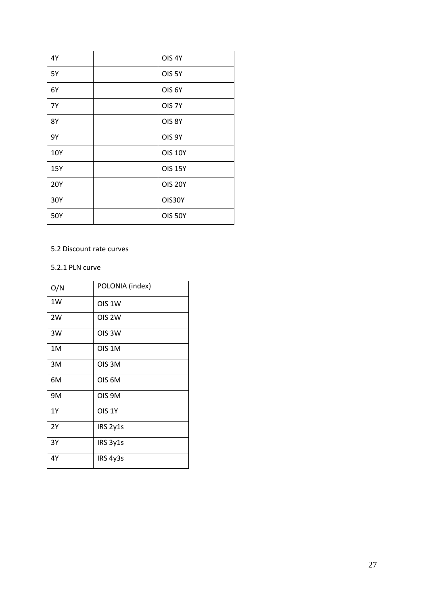| 4Y         | OIS <sub>4Y</sub> |
|------------|-------------------|
| 5Y         | OIS <sub>5Y</sub> |
| 6Y         | OIS <sub>6Y</sub> |
| <b>7Y</b>  | OIS <sub>7Y</sub> |
| <b>8Y</b>  | OIS <sub>8Y</sub> |
| 9Υ         | OIS <sub>9Y</sub> |
| 10Y        | <b>OIS 10Y</b>    |
| 15Y        | <b>OIS 15Y</b>    |
| <b>20Y</b> | <b>OIS 20Y</b>    |
| 30Y        | OIS30Y            |
| 50Y        | <b>OIS 50Y</b>    |

## 5.2 Discount rate curves

## 5.2.1 PLN curve

| O/N       | POLONIA (index)    |
|-----------|--------------------|
| 1W        | OIS 1W             |
| 2W        | OIS 2W             |
| 3W        | OIS <sub>3</sub> W |
| 1M        | OIS 1M             |
| 3M        | OIS 3M             |
| 6M        | OIS <sub>6M</sub>  |
| 9M        | OIS 9M             |
| <b>1Y</b> | OIS <sub>1Y</sub>  |
| 2Y        | IRS 2y1s           |
| 3Y        | IRS 3y1s           |
| 4Y        | IRS 4y3s           |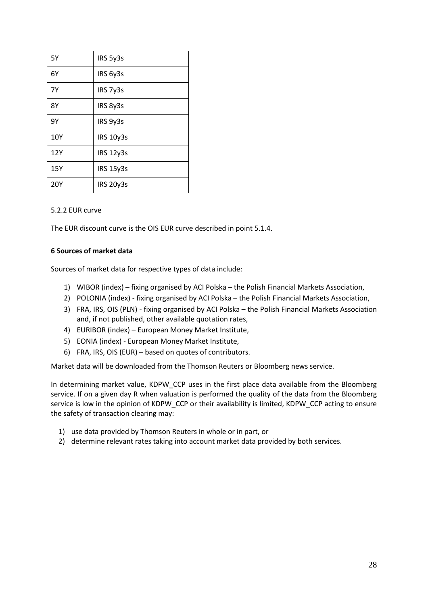| <b>5Y</b>  | IRS 5y3s         |
|------------|------------------|
| 6Y         | IRS 6y3s         |
| <b>7Y</b>  | IRS 7y3s         |
| <b>8Y</b>  | IRS 8y3s         |
| <b>9Y</b>  | IRS 9y3s         |
| 10Y        | <b>IRS 10y3s</b> |
| 12Y        | <b>IRS 12y3s</b> |
| 15Y        | <b>IRS 15y3s</b> |
| <b>20Y</b> | <b>IRS 20y3s</b> |

### 5.2.2 EUR curve

The EUR discount curve is the OIS EUR curve described in point 5.1.4.

### **6 Sources of market data**

Sources of market data for respective types of data include:

- 1) WIBOR (index) fixing organised by ACI Polska the Polish Financial Markets Association,
- 2) POLONIA (index) fixing organised by ACI Polska the Polish Financial Markets Association,
- 3) FRA, IRS, OIS (PLN) fixing organised by ACI Polska the Polish Financial Markets Association and, if not published, other available quotation rates,
- 4) EURIBOR (index) European Money Market Institute,
- 5) EONIA (index) European Money Market Institute,
- 6) FRA, IRS, OIS (EUR) based on quotes of contributors.

Market data will be downloaded from the Thomson Reuters or Bloomberg news service.

In determining market value, KDPW CCP uses in the first place data available from the Bloomberg service. If on a given day R when valuation is performed the quality of the data from the Bloomberg service is low in the opinion of KDPW\_CCP or their availability is limited, KDPW\_CCP acting to ensure the safety of transaction clearing may:

- 1) use data provided by Thomson Reuters in whole or in part, or
- 2) determine relevant rates taking into account market data provided by both services.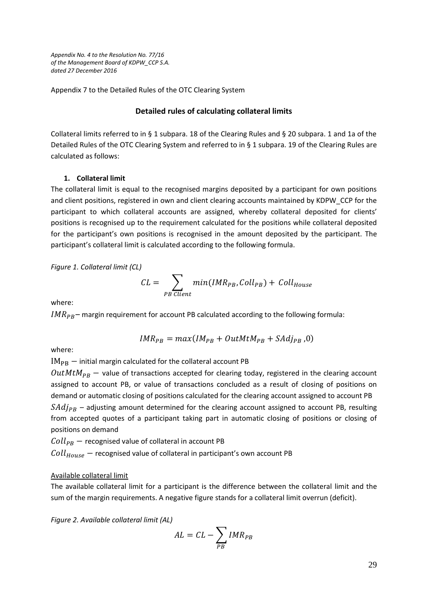*Appendix No. 4 to the Resolution No. 77/16 of the Management Board of KDPW\_CCP S.A. dated 27 December 2016*

Appendix 7 to the Detailed Rules of the OTC Clearing System

## **Detailed rules of calculating collateral limits**

Collateral limits referred to in § 1 subpara. 18 of the Clearing Rules and § 20 subpara. 1 and 1a of the Detailed Rules of the OTC Clearing System and referred to in § 1 subpara. 19 of the Clearing Rules are calculated as follows:

## **1. Collateral limit**

The collateral limit is equal to the recognised margins deposited by a participant for own positions and client positions, registered in own and client clearing accounts maintained by KDPW\_CCP for the participant to which collateral accounts are assigned, whereby collateral deposited for clients' positions is recognised up to the requirement calculated for the positions while collateral deposited for the participant's own positions is recognised in the amount deposited by the participant. The participant's collateral limit is calculated according to the following formula.

*Figure 1. Collateral limit (CL)*

$$
CL = \sum_{PB \; Client} min(IMR_{PB}, Coll_{PB}) + Coll_{House}
$$

where:

*–* margin requirement for account PB calculated according to the following formula:

$$
IMR_{PB} = max(IM_{PB} + OutMtM_{PB} + SAdj_{PB}, 0)
$$

where:

 $IM_{PR}$  – initial margin calculated for the collateral account PB

 $OutMtM_{PR}$  – value of transactions accepted for clearing today, registered in the clearing account assigned to account PB, or value of transactions concluded as a result of closing of positions on demand or automatic closing of positions calculated for the clearing account assigned to account PB  $SAdj_{PB}$  – adjusting amount determined for the clearing account assigned to account PB, resulting from accepted quotes of a participant taking part in automatic closing of positions or closing of positions on demand

 $Coll_{PR}$  – recognised value of collateral in account PB

 $\textit{Coll}_\textit{House}$  – recognised value of collateral in participant's own account PB

## Available collateral limit

The available collateral limit for a participant is the difference between the collateral limit and the sum of the margin requirements. A negative figure stands for a collateral limit overrun (deficit).

*Figure 2. Available collateral limit (AL)*

$$
AL = CL - \sum_{PB} IMR_{PB}
$$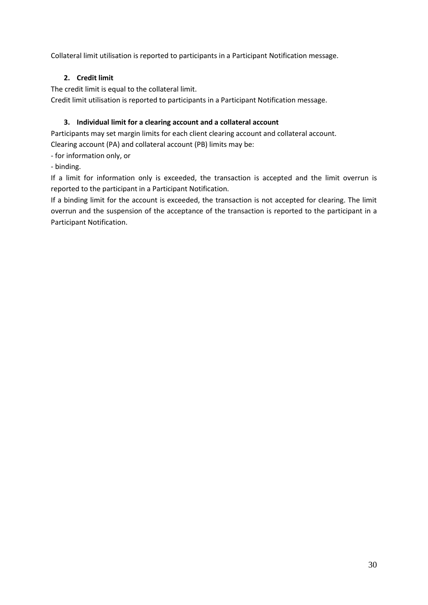Collateral limit utilisation is reported to participants in a Participant Notification message.

# **2. Credit limit**

The credit limit is equal to the collateral limit.

Credit limit utilisation is reported to participants in a Participant Notification message.

# **3. Individual limit for a clearing account and a collateral account**

Participants may set margin limits for each client clearing account and collateral account.

Clearing account (PA) and collateral account (PB) limits may be:

- for information only, or

- binding.

If a limit for information only is exceeded, the transaction is accepted and the limit overrun is reported to the participant in a Participant Notification.

If a binding limit for the account is exceeded, the transaction is not accepted for clearing. The limit overrun and the suspension of the acceptance of the transaction is reported to the participant in a Participant Notification.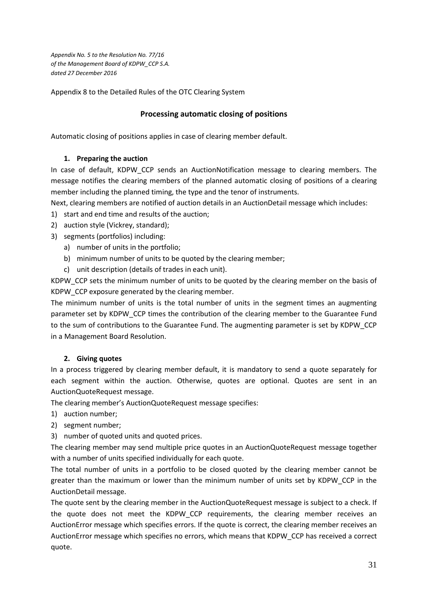*Appendix No. 5 to the Resolution No. 77/16 of the Management Board of KDPW\_CCP S.A. dated 27 December 2016*

Appendix 8 to the Detailed Rules of the OTC Clearing System

## **Processing automatic closing of positions**

Automatic closing of positions applies in case of clearing member default.

## **1. Preparing the auction**

In case of default, KDPW CCP sends an AuctionNotification message to clearing members. The message notifies the clearing members of the planned automatic closing of positions of a clearing member including the planned timing, the type and the tenor of instruments.

Next, clearing members are notified of auction details in an AuctionDetail message which includes:

- 1) start and end time and results of the auction;
- 2) auction style (Vickrey, standard);
- 3) segments (portfolios) including:
	- a) number of units in the portfolio;
	- b) minimum number of units to be quoted by the clearing member;
	- c) unit description (details of trades in each unit).

KDPW\_CCP sets the minimum number of units to be quoted by the clearing member on the basis of KDPW CCP exposure generated by the clearing member.

The minimum number of units is the total number of units in the segment times an augmenting parameter set by KDPW. CCP times the contribution of the clearing member to the Guarantee Fund to the sum of contributions to the Guarantee Fund. The augmenting parameter is set by KDPW\_CCP in a Management Board Resolution.

## **2. Giving quotes**

In a process triggered by clearing member default, it is mandatory to send a quote separately for each segment within the auction. Otherwise, quotes are optional. Quotes are sent in an AuctionQuoteRequest message.

The clearing member's AuctionQuoteRequest message specifies:

- 1) auction number;
- 2) segment number;
- 3) number of quoted units and quoted prices.

The clearing member may send multiple price quotes in an AuctionQuoteRequest message together with a number of units specified individually for each quote.

The total number of units in a portfolio to be closed quoted by the clearing member cannot be greater than the maximum or lower than the minimum number of units set by KDPW\_CCP in the AuctionDetail message.

The quote sent by the clearing member in the AuctionQuoteRequest message is subject to a check. If the quote does not meet the KDPW CCP requirements, the clearing member receives an AuctionError message which specifies errors. If the quote is correct, the clearing member receives an AuctionError message which specifies no errors, which means that KDPW\_CCP has received a correct quote.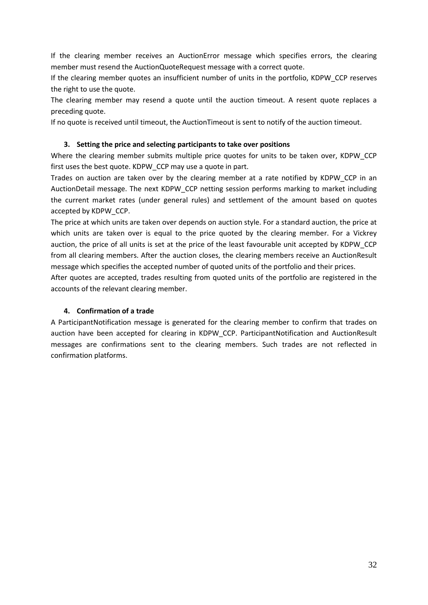If the clearing member receives an AuctionError message which specifies errors, the clearing member must resend the AuctionQuoteRequest message with a correct quote.

If the clearing member quotes an insufficient number of units in the portfolio, KDPW\_CCP reserves the right to use the quote.

The clearing member may resend a quote until the auction timeout. A resent quote replaces a preceding quote.

If no quote is received until timeout, the AuctionTimeout is sent to notify of the auction timeout.

## **3. Setting the price and selecting participants to take over positions**

Where the clearing member submits multiple price quotes for units to be taken over, KDPW\_CCP first uses the best quote. KDPW\_CCP may use a quote in part.

Trades on auction are taken over by the clearing member at a rate notified by KDPW CCP in an AuctionDetail message. The next KDPW\_CCP netting session performs marking to market including the current market rates (under general rules) and settlement of the amount based on quotes accepted by KDPW\_CCP.

The price at which units are taken over depends on auction style. For a standard auction, the price at which units are taken over is equal to the price quoted by the clearing member. For a Vickrey auction, the price of all units is set at the price of the least favourable unit accepted by KDPW\_CCP from all clearing members. After the auction closes, the clearing members receive an AuctionResult message which specifies the accepted number of quoted units of the portfolio and their prices.

After quotes are accepted, trades resulting from quoted units of the portfolio are registered in the accounts of the relevant clearing member.

## **4. Confirmation of a trade**

A ParticipantNotification message is generated for the clearing member to confirm that trades on auction have been accepted for clearing in KDPW\_CCP. ParticipantNotification and AuctionResult messages are confirmations sent to the clearing members. Such trades are not reflected in confirmation platforms.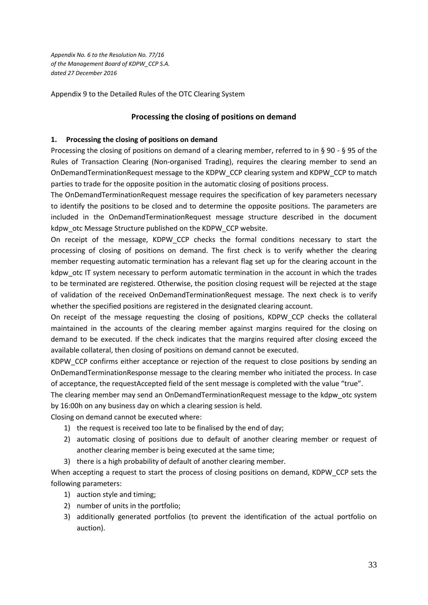*Appendix No. 6 to the Resolution No. 77/16 of the Management Board of KDPW\_CCP S.A. dated 27 December 2016*

Appendix 9 to the Detailed Rules of the OTC Clearing System

## **Processing the closing of positions on demand**

### **1. Processing the closing of positions on demand**

Processing the closing of positions on demand of a clearing member, referred to in § 90 - § 95 of the Rules of Transaction Clearing (Non-organised Trading), requires the clearing member to send an OnDemandTerminationRequest message to the KDPW\_CCP clearing system and KDPW\_CCP to match parties to trade for the opposite position in the automatic closing of positions process.

The OnDemandTerminationRequest message requires the specification of key parameters necessary to identify the positions to be closed and to determine the opposite positions. The parameters are included in the OnDemandTerminationRequest message structure described in the document kdpw\_otc Message Structure published on the KDPW\_CCP website.

On receipt of the message, KDPW CCP checks the formal conditions necessary to start the processing of closing of positions on demand. The first check is to verify whether the clearing member requesting automatic termination has a relevant flag set up for the clearing account in the kdpw otc IT system necessary to perform automatic termination in the account in which the trades to be terminated are registered. Otherwise, the position closing request will be rejected at the stage of validation of the received OnDemandTerminationRequest message. The next check is to verify whether the specified positions are registered in the designated clearing account.

On receipt of the message requesting the closing of positions, KDPW\_CCP checks the collateral maintained in the accounts of the clearing member against margins required for the closing on demand to be executed. If the check indicates that the margins required after closing exceed the available collateral, then closing of positions on demand cannot be executed.

KDPW\_CCP confirms either acceptance or rejection of the request to close positions by sending an OnDemandTerminationResponse message to the clearing member who initiated the process. In case of acceptance, the requestAccepted field of the sent message is completed with the value "true".

The clearing member may send an OnDemandTerminationRequest message to the kdpw\_otc system by 16:00h on any business day on which a clearing session is held.

Closing on demand cannot be executed where:

- 1) the request is received too late to be finalised by the end of day;
- 2) automatic closing of positions due to default of another clearing member or request of another clearing member is being executed at the same time;
- 3) there is a high probability of default of another clearing member.

When accepting a request to start the process of closing positions on demand, KDPW\_CCP sets the following parameters:

- 1) auction style and timing;
- 2) number of units in the portfolio;
- 3) additionally generated portfolios (to prevent the identification of the actual portfolio on auction).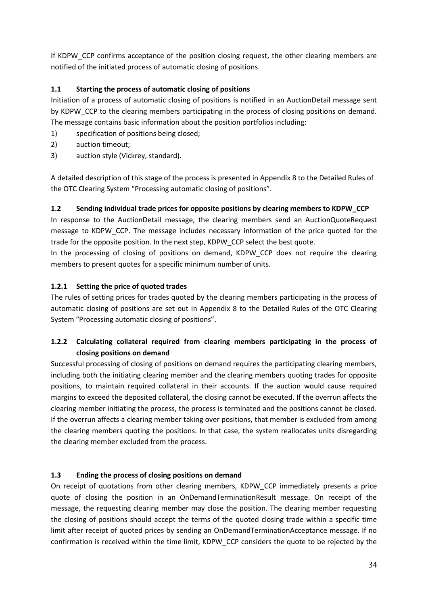If KDPW\_CCP confirms acceptance of the position closing request, the other clearing members are notified of the initiated process of automatic closing of positions.

# **1.1 Starting the process of automatic closing of positions**

Initiation of a process of automatic closing of positions is notified in an AuctionDetail message sent by KDPW CCP to the clearing members participating in the process of closing positions on demand. The message contains basic information about the position portfolios including:

- 1) specification of positions being closed;
- 2) auction timeout;
- 3) auction style (Vickrey, standard).

A detailed description of this stage of the process is presented in Appendix 8 to the Detailed Rules of the OTC Clearing System "Processing automatic closing of positions".

# **1.2 Sending individual trade prices for opposite positions by clearing members to KDPW\_CCP**

In response to the AuctionDetail message, the clearing members send an AuctionQuoteRequest message to KDPW CCP. The message includes necessary information of the price quoted for the trade for the opposite position. In the next step, KDPW\_CCP select the best quote.

In the processing of closing of positions on demand, KDPW CCP does not require the clearing members to present quotes for a specific minimum number of units.

# **1.2.1 Setting the price of quoted trades**

The rules of setting prices for trades quoted by the clearing members participating in the process of automatic closing of positions are set out in Appendix 8 to the Detailed Rules of the OTC Clearing System "Processing automatic closing of positions".

# **1.2.2 Calculating collateral required from clearing members participating in the process of closing positions on demand**

Successful processing of closing of positions on demand requires the participating clearing members, including both the initiating clearing member and the clearing members quoting trades for opposite positions, to maintain required collateral in their accounts. If the auction would cause required margins to exceed the deposited collateral, the closing cannot be executed. If the overrun affects the clearing member initiating the process, the process is terminated and the positions cannot be closed. If the overrun affects a clearing member taking over positions, that member is excluded from among the clearing members quoting the positions. In that case, the system reallocates units disregarding the clearing member excluded from the process.

# **1.3 Ending the process of closing positions on demand**

On receipt of quotations from other clearing members, KDPW\_CCP immediately presents a price quote of closing the position in an OnDemandTerminationResult message. On receipt of the message, the requesting clearing member may close the position. The clearing member requesting the closing of positions should accept the terms of the quoted closing trade within a specific time limit after receipt of quoted prices by sending an OnDemandTerminationAcceptance message. If no confirmation is received within the time limit, KDPW\_CCP considers the quote to be rejected by the